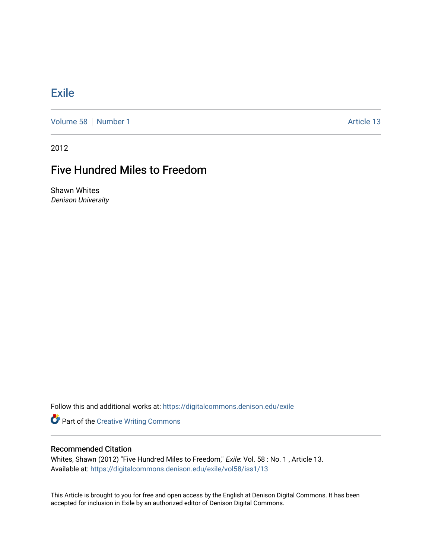## **[Exile](https://digitalcommons.denison.edu/exile)**

[Volume 58](https://digitalcommons.denison.edu/exile/vol58) [Number 1](https://digitalcommons.denison.edu/exile/vol58/iss1) Article 13

2012

## Five Hundred Miles to Freedom

Shawn Whites Denison University

Follow this and additional works at: [https://digitalcommons.denison.edu/exile](https://digitalcommons.denison.edu/exile?utm_source=digitalcommons.denison.edu%2Fexile%2Fvol58%2Fiss1%2F13&utm_medium=PDF&utm_campaign=PDFCoverPages) 

**Part of the Creative Writing Commons** 

## Recommended Citation

Whites, Shawn (2012) "Five Hundred Miles to Freedom," Exile: Vol. 58 : No. 1 , Article 13. Available at: [https://digitalcommons.denison.edu/exile/vol58/iss1/13](https://digitalcommons.denison.edu/exile/vol58/iss1/13?utm_source=digitalcommons.denison.edu%2Fexile%2Fvol58%2Fiss1%2F13&utm_medium=PDF&utm_campaign=PDFCoverPages)

This Article is brought to you for free and open access by the English at Denison Digital Commons. It has been accepted for inclusion in Exile by an authorized editor of Denison Digital Commons.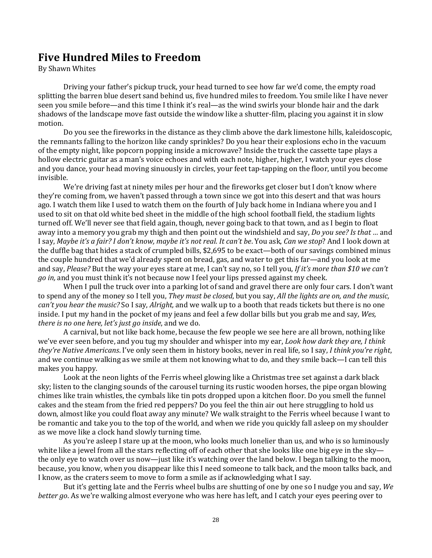## **Five Hundred Miles to Freedom**

By Shawn Whites

Driving your father's pickup truck, your head turned to see how far we'd come, the empty road splitting the barren blue desert sand behind us, five hundred miles to freedom. You smile like I have never seen you smile before—and this time I think it's real—as the wind swirls your blonde hair and the dark shadows of the landscape move fast outside the window like a shutter-film, placing you against it in slow motion.

 Do you see the fireworks in the distance as they climb above the dark limestone hills, kaleidoscopic, the remnants falling to the horizon like candy sprinkles? Do you hear their explosions echo in the vacuum of the empty night, like popcorn popping inside a microwave? Inside the truck the cassette tape plays a hollow electric guitar as a man's voice echoes and with each note, higher, higher, I watch your eyes close and you dance, your head moving sinuously in circles, your feet tap-tapping on the floor, until you become invisible.

 We're driving fast at ninety miles per hour and the fireworks get closer but I don't know where they're coming from, we haven't passed through a town since we got into this desert and that was hours ago. I watch them like I used to watch them on the fourth of July back home in Indiana where you and I used to sit on that old white bed sheet in the middle of the high school football field, the stadium lights turned off. We'll never see that field again, though, never going back to that town, and as I begin to float away into a memory you grab my thigh and then point out the windshield and say, *Do you see? Is that …* and I say, *Maybe it's a fair? I don't know, maybe it's not real. It can't be*. You ask, *Can we stop*? And I look down at the duffle bag that hides a stack of crumpled bills, \$2,695 to be exact—both of our savings combined minus the couple hundred that we'd already spent on bread, gas, and water to get this far—and you look at me and say, *Please?* But the way your eyes stare at me, I can't say no, so I tell you, *If it's more than \$10 we can't go in,* and you must think it's not because now I feel your lips pressed against my cheek.

When I pull the truck over into a parking lot of sand and gravel there are only four cars. I don't want to spend any of the money so I tell you, *They must be closed*, but you say, *All the lights are on, and the music, can't you hear the music?* So I say, *Alright,* and we walk up to a booth that reads tickets but there is no one inside. I put my hand in the pocket of my jeans and feel a few dollar bills but you grab me and say*, Wes, there is no one here, let's just go inside*, and we do.

 A carnival, but not like back home, because the few people we see here are all brown, nothing like we've ever seen before, and you tug my shoulder and whisper into my ear, *Look how dark they are, I think they're Native Americans*. I've only seen them in history books, never in real life, so I say, *I think you're right*, and we continue walking as we smile at them not knowing what to do, and they smile back—I can tell this makes you happy.

 Look at the neon lights of the Ferris wheel glowing like a Christmas tree set against a dark black sky; listen to the clanging sounds of the carousel turning its rustic wooden horses, the pipe organ blowing chimes like train whistles, the cymbals like tin pots dropped upon a kitchen floor. Do you smell the funnel cakes and the steam from the fried red peppers? Do you feel the thin air out here struggling to hold us down, almost like you could float away any minute? We walk straight to the Ferris wheel because I want to be romantic and take you to the top of the world, and when we ride you quickly fall asleep on my shoulder as we move like a clock hand slowly turning time.

 As you're asleep I stare up at the moon, who looks much lonelier than us, and who is so luminously white like a jewel from all the stars reflecting off of each other that she looks like one big eye in the sky the only eye to watch over us now—just like it's watching over the land below. I began talking to the moon, because, you know, when you disappear like this I need someone to talk back, and the moon talks back, and I know, as the craters seem to move to form a smile as if acknowledging what I say.

 But it's getting late and the Ferris wheel bulbs are shutting of one by one so I nudge you and say, *We better go*. As we're walking almost everyone who was here has left, and I catch your eyes peering over to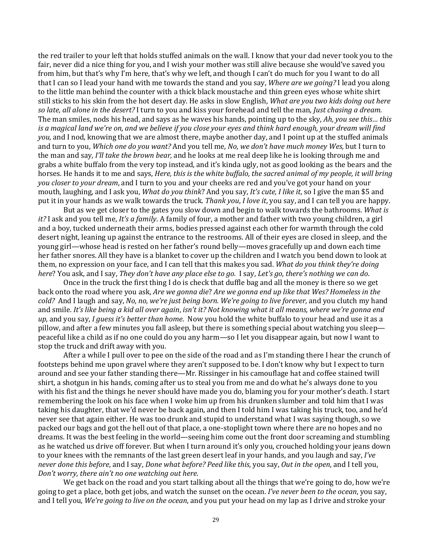the red trailer to your left that holds stuffed animals on the wall. I know that your dad never took you to the fair, never did a nice thing for you, and I wish your mother was still alive because she would've saved you from him, but that's why I'm here, that's why we left, and though I can't do much for you I want to do all that I can so I lead your hand with me towards the stand and you say, *Where are we going?* I lead you along to the little man behind the counter with a thick black moustache and thin green eyes whose white shirt still sticks to his skin from the hot desert day. He asks in slow English, *What are you two kids doing out here so late, all alone in the desert?* I turn to you and kiss your forehead and tell the man, *Just chasing a dream.* The man smiles, nods his head, and says as he waves his hands, pointing up to the sky, *Ah, you see this… this is a magical land we're on, and we believe if you close your eyes and think hard enough, your dream will find you,* and I nod, knowing that we are almost there, maybe another day, and I point up at the stuffed animals and turn to you, *Which one do you want?* And you tell me, *No, we don't have much money Wes,* but I turn to the man and say*, I'll take the brown bear,* and he looks at me real deep like he is looking through me and grabs a white buffalo from the very top instead, and it's kinda ugly, not as good looking as the bears and the horses. He hands it to me and says, *Here, this is the white buffalo, the sacred animal of my people, it will bring you closer to your dream*, and I turn to you and your cheeks are red and you've got your hand on your mouth, laughing, and I ask you, *What do you think*? And you say, *It's cute, I like it*, so I give the man \$5 and put it in your hands as we walk towards the truck. *Thank you*, *I love it*, you say, and I can tell you are happy.

 But as we get closer to the gates you slow down and begin to walk towards the bathrooms. *What is it?* I ask and you tell me, *It's a family*. A family of four, a mother and father with two young children, a girl and a boy, tucked underneath their arms, bodies pressed against each other for warmth through the cold desert night, leaning up against the entrance to the restrooms. All of their eyes are closed in sleep, and the young girl—whose head is rested on her father's round belly—moves gracefully up and down each time her father snores. All they have is a blanket to cover up the children and I watch you bend down to look at them, no expression on your face, and I can tell that this makes you sad. *What do you think they're doing here*? You ask, and I say, *They don't have any place else to go.* I say, *Let's go, there's nothing we can do*.

 Once in the truck the first thing I do is check that duffle bag and all the money is there so we get back onto the road where you ask, *Are we gonna die*? *Are we gonna end up like that Wes? Homeless in the cold?* And I laugh and say, *No, no, we're just being born. We're going to live forever,* and you clutch my hand and smile. *It's like being a kid all over again*, *isn't it? Not knowing what it all means, where we're gonna end up,* and you say, *I guess it's better than home*. Now you hold the white buffalo to your head and use it as a pillow, and after a few minutes you fall asleep, but there is something special about watching you sleep peaceful like a child as if no one could do you any harm—so I let you disappear again, but now I want to stop the truck and drift away with you.

 After a while I pull over to pee on the side of the road and as I'm standing there I hear the crunch of footsteps behind me upon gravel where they aren't supposed to be. I don't know why but I expect to turn around and see your father standing there—Mr. Rissinger in his camouflage hat and coffee stained twill shirt, a shotgun in his hands, coming after us to steal you from me and do what he's always done to you with his fist and the things he never should have made you do, blaming you for your mother's death. I start remembering the look on his face when I woke him up from his drunken slumber and told him that I was taking his daughter, that we'd never be back again, and then I told him I was taking his truck, too, and he'd never see that again either. He was too drunk and stupid to understand what I was saying though, so we packed our bags and got the hell out of that place, a one-stoplight town where there are no hopes and no dreams. It was the best feeling in the world—seeing him come out the front door screaming and stumbling as he watched us drive off forever. But when I turn around it's only you, crouched holding your jeans down to your knees with the remnants of the last green desert leaf in your hands, and you laugh and say, *I've never done this before*, and I say, *Done what before? Peed like this,* you say, *Out in the open*, and I tell you, *Don't worry, there ain't no one watching out here.* 

We get back on the road and you start talking about all the things that we're going to do, how we're going to get a place, both get jobs, and watch the sunset on the ocean. *I've never been to the ocean*, you say, and I tell you, *We're going to live on the ocean*, and you put your head on my lap as I drive and stroke your